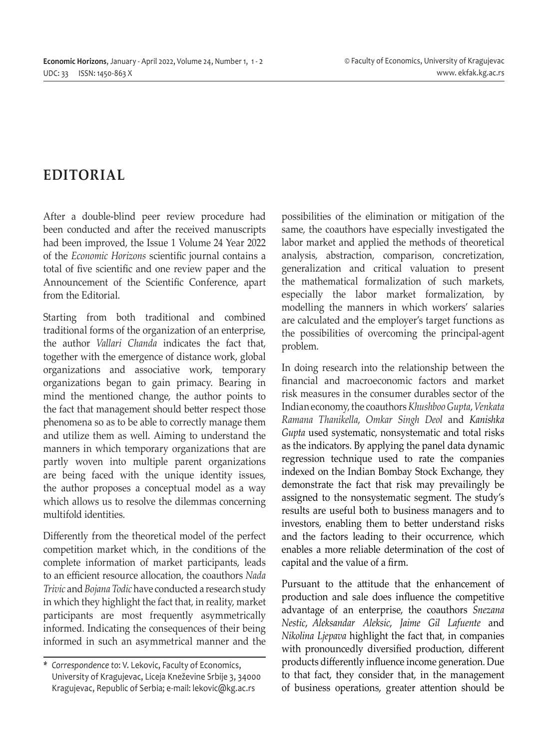## **EDITORIAL**

After a double-blind peer review procedure had been conducted and after the received manuscripts had been improved, the Issue 1 Volume 24 Year 2022 of the *Economic Horizons* scientific journal contains a total of five scientific and one review paper and the Announcement of the Scientific Conference, apart from the Editorial.

Starting from both traditional and combined traditional forms of the organization of an enterprise, the author *Vallari Chanda* indicates the fact that, together with the emergence of distance work, global organizations and associative work, temporary organizations began to gain primacy. Bearing in mind the mentioned change, the author points to the fact that management should better respect those phenomena so as to be able to correctly manage them and utilize them as well. Aiming to understand the manners in which temporary organizations that are partly woven into multiple parent organizations are being faced with the unique identity issues, the author proposes a conceptual model as a way which allows us to resolve the dilemmas concerning multifold identities.

Differently from the theoretical model of the perfect competition market which, in the conditions of the complete information of market participants, leads to an efficient resource allocation, the coauthors *Nada Trivic* and *Bojana Todic* have conducted a research study in which they highlight the fact that, in reality, market participants are most frequently asymmetrically informed. Indicating the consequences of their being informed in such an asymmetrical manner and the

possibilities of the elimination or mitigation of the same, the coauthors have especially investigated the labor market and applied the methods of theoretical analysis, abstraction, comparison, concretization, generalization and critical valuation to present the mathematical formalization of such markets, especially the labor market formalization, by modelling the manners in which workers' salaries are calculated and the employer's target functions as the possibilities of overcoming the principal-agent problem.

In doing research into the relationship between the financial and macroeconomic factors and market risk measures in the consumer durables sector of the Indian economy, the coauthors *Khushboo Gupta*, *Venkata Ramana Thanikella*, *Omkar Singh Deol* and *Kanishka Gupta* used systematic, nonsystematic and total risks as the indicators. By applying the panel data dynamic regression technique used to rate the companies indexed on the Indian Bombay Stock Exchange, they demonstrate the fact that risk may prevailingly be assigned to the nonsystematic segment. The study's results are useful both to business managers and to investors, enabling them to better understand risks and the factors leading to their occurrence, which enables a more reliable determination of the cost of capital and the value of a firm.

Pursuant to the attitude that the enhancement of production and sale does influence the competitive advantage of an enterprise, the coauthors *Snezana Nestic*, *Aleksandar Aleksic*, *Jaime Gil Lafuente* and *Nikolina Ljepava* highlight the fact that, in companies with pronouncedly diversified production, different products differently influence income generation. Due to that fact, they consider that, in the management of business operations, greater attention should be

*<sup>\*</sup> Correspondence to*: V. Lekovic, Faculty of Economics, University of Kragujevac, Liceja Kneževine Srbije 3, 34000 Kragujevac, Republic of Serbia; e-mail: lekovic@kg.ac.rs